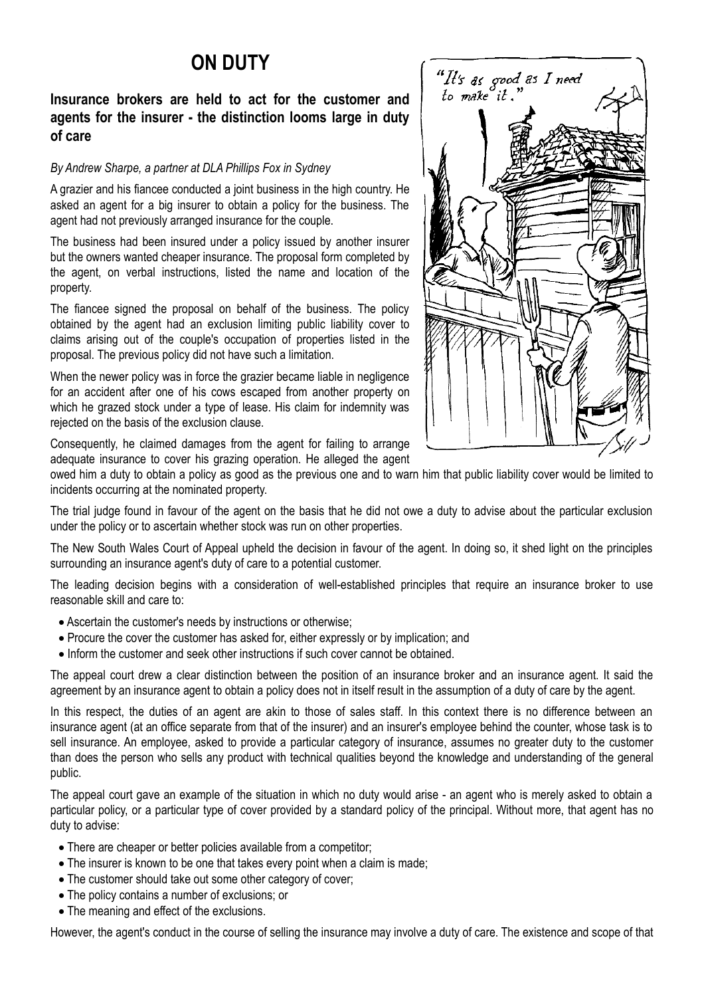## **ON DUTY**

## **Insurance brokers are held to act for the customer and agents for the insurer - the distinction looms large in duty of care**

## *By Andrew Sharpe, a partner at DLA Phillips Fox in Sydney*

A grazier and his fiancee conducted a joint business in the high country. He asked an agent for a big insurer to obtain a policy for the business. The agent had not previously arranged insurance for the couple.

The business had been insured under a policy issued by another insurer but the owners wanted cheaper insurance. The proposal form completed by the agent, on verbal instructions, listed the name and location of the property.

The fiancee signed the proposal on behalf of the business. The policy obtained by the agent had an exclusion limiting public liability cover to claims arising out of the couple's occupation of properties listed in the proposal. The previous policy did not have such a limitation.

When the newer policy was in force the grazier became liable in negligence for an accident after one of his cows escaped from another property on which he grazed stock under a type of lease. His claim for indemnity was rejected on the basis of the exclusion clause.

Consequently, he claimed damages from the agent for failing to arrange adequate insurance to cover his grazing operation. He alleged the agent

owed him a duty to obtain a policy as good as the previous one and to warn him that public liability cover would be limited to incidents occurring at the nominated property.

The trial judge found in favour of the agent on the basis that he did not owe a duty to advise about the particular exclusion under the policy or to ascertain whether stock was run on other properties.

The New South Wales Court of Appeal upheld the decision in favour of the agent. In doing so, it shed light on the principles surrounding an insurance agent's duty of care to a potential customer.

The leading decision begins with a consideration of well-established principles that require an insurance broker to use reasonable skill and care to:

- · Ascertain the customer's needs by instructions or otherwise;
- Procure the cover the customer has asked for, either expressly or by implication; and
- · Inform the customer and seek other instructions if such cover cannot be obtained.

The appeal court drew a clear distinction between the position of an insurance broker and an insurance agent. It said the agreement by an insurance agent to obtain a policy does not in itself result in the assumption of a duty of care by the agent.

In this respect, the duties of an agent are akin to those of sales staff. In this context there is no difference between an insurance agent (at an office separate from that of the insurer) and an insurer's employee behind the counter, whose task is to sell insurance. An employee, asked to provide a particular category of insurance, assumes no greater duty to the customer than does the person who sells any product with technical qualities beyond the knowledge and understanding of the general public.

The appeal court gave an example of the situation in which no duty would arise - an agent who is merely asked to obtain a particular policy, or a particular type of cover provided by a standard policy of the principal. Without more, that agent has no duty to advise:

- · There are cheaper or better policies available from a competitor;
- The insurer is known to be one that takes every point when a claim is made;
- · The customer should take out some other category of cover;
- · The policy contains a number of exclusions; or
- The meaning and effect of the exclusions.

However, the agent's conduct in the course of selling the insurance may involve a duty of care. The existence and scope of that